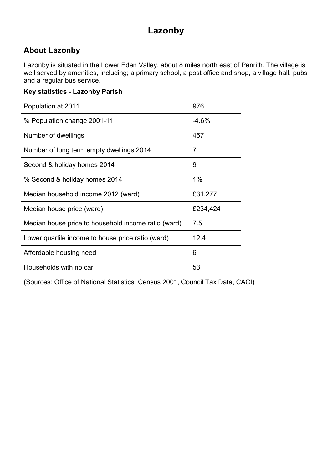# **Lazonby**

### **About Lazonby**

Lazonby is situated in the Lower Eden Valley, about 8 miles north east of Penrith. The village is well served by amenities, including; a primary school, a post office and shop, a village hall, pubs and a regular bus service.

#### **Key statistics - Lazonby Parish**

| Population at 2011                                  | 976      |
|-----------------------------------------------------|----------|
| % Population change 2001-11                         | $-4.6%$  |
| Number of dwellings                                 | 457      |
| Number of long term empty dwellings 2014            | 7        |
| Second & holiday homes 2014                         | 9        |
| % Second & holiday homes 2014                       | $1\%$    |
| Median household income 2012 (ward)                 | £31,277  |
| Median house price (ward)                           | £234,424 |
| Median house price to household income ratio (ward) | 7.5      |
| Lower quartile income to house price ratio (ward)   | 12.4     |
| Affordable housing need                             | 6        |
| Households with no car                              | 53       |

(Sources: Office of National Statistics, Census 2001, Council Tax Data, CACI)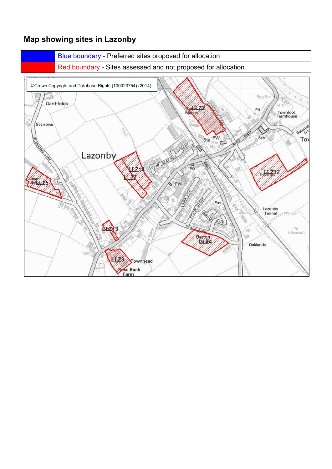### **Map showing sites in Lazonby**

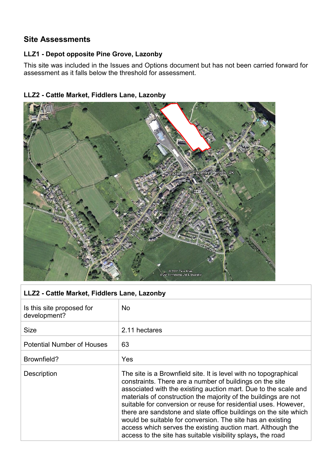### **Site Assessments**

#### **LLZ1 - Depot opposite Pine Grove, Lazonby**

This site was included in the Issues and Options document but has not been carried forward for assessment as it falls below the threshold for assessment.



#### **LLZ2 - Cattle Market, Fiddlers Lane, Lazonby**

| LLZ2 - Cattle Market, Fiddlers Lane, Lazonby |                                                                                                                                                                                                                                                                                                                                                                                                                                                                                                                                                                                                       |
|----------------------------------------------|-------------------------------------------------------------------------------------------------------------------------------------------------------------------------------------------------------------------------------------------------------------------------------------------------------------------------------------------------------------------------------------------------------------------------------------------------------------------------------------------------------------------------------------------------------------------------------------------------------|
| Is this site proposed for<br>development?    | <b>No</b>                                                                                                                                                                                                                                                                                                                                                                                                                                                                                                                                                                                             |
| <b>Size</b>                                  | 2.11 hectares                                                                                                                                                                                                                                                                                                                                                                                                                                                                                                                                                                                         |
| <b>Potential Number of Houses</b>            | 63                                                                                                                                                                                                                                                                                                                                                                                                                                                                                                                                                                                                    |
| Brownfield?                                  | Yes                                                                                                                                                                                                                                                                                                                                                                                                                                                                                                                                                                                                   |
| Description                                  | The site is a Brownfield site. It is level with no topographical<br>constraints. There are a number of buildings on the site<br>associated with the existing auction mart. Due to the scale and<br>materials of construction the majority of the buildings are not<br>suitable for conversion or reuse for residential uses. However,<br>there are sandstone and slate office buildings on the site which<br>would be suitable for conversion. The site has an existing<br>access which serves the existing auction mart. Although the<br>access to the site has suitable visibility splays, the road |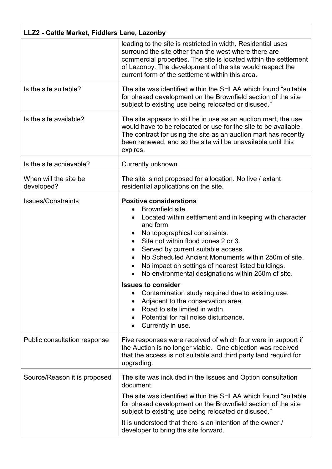| LLZ2 - Cattle Market, Fiddlers Lane, Lazonby |                                                                                                                                                                                                                                                                                                                                                                                                             |  |
|----------------------------------------------|-------------------------------------------------------------------------------------------------------------------------------------------------------------------------------------------------------------------------------------------------------------------------------------------------------------------------------------------------------------------------------------------------------------|--|
|                                              | leading to the site is restricted in width. Residential uses<br>surround the site other than the west where there are<br>commercial properties. The site is located within the settlement<br>of Lazonby. The development of the site would respect the<br>current form of the settlement within this area.                                                                                                  |  |
| Is the site suitable?                        | The site was identified within the SHLAA which found "suitable"<br>for phased development on the Brownfield section of the site<br>subject to existing use being relocated or disused."                                                                                                                                                                                                                     |  |
| Is the site available?                       | The site appears to still be in use as an auction mart, the use<br>would have to be relocated or use for the site to be available.<br>The contract for using the site as an auction mart has recently<br>been renewed, and so the site will be unavailable until this<br>expires.                                                                                                                           |  |
| Is the site achievable?                      | Currently unknown.                                                                                                                                                                                                                                                                                                                                                                                          |  |
| When will the site be<br>developed?          | The site is not proposed for allocation. No live / extant<br>residential applications on the site.                                                                                                                                                                                                                                                                                                          |  |
| <b>Issues/Constraints</b>                    | <b>Positive considerations</b><br>Brownfield site.<br>Located within settlement and in keeping with character<br>and form.<br>No topographical constraints.<br>Site not within flood zones 2 or 3.<br>Served by current suitable access.<br>No Scheduled Ancient Monuments within 250m of site.<br>No impact on settings of nearest listed buildings.<br>No environmental designations within 250m of site. |  |
|                                              | <b>Issues to consider</b><br>Contamination study required due to existing use.<br>Adjacent to the conservation area.<br>Road to site limited in width.<br>Potential for rail noise disturbance.<br>Currently in use.                                                                                                                                                                                        |  |
| Public consultation response                 | Five responses were received of which four were in support if<br>the Auction is no longer viable. One objection was received<br>that the access is not suitable and third party land requird for<br>upgrading.                                                                                                                                                                                              |  |
| Source/Reason it is proposed                 | The site was included in the Issues and Option consultation<br>document.<br>The site was identified within the SHLAA which found "suitable"<br>for phased development on the Brownfield section of the site<br>subject to existing use being relocated or disused."<br>It is understood that there is an intention of the owner /<br>developer to bring the site forward.                                   |  |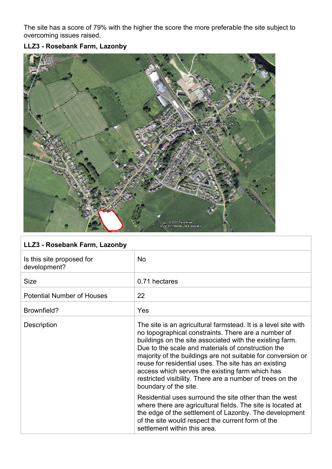The site has a score of 79% with the higher the score the more preferable the site subject to overcoming issues raised.

### **LLZ3 - Rosebank Farm, Lazonby**



| LLZ3 - Rosebank Farm, Lazonby             |                                                                                                                                                                                                                                                                                                                                                                                                                                                                                                          |
|-------------------------------------------|----------------------------------------------------------------------------------------------------------------------------------------------------------------------------------------------------------------------------------------------------------------------------------------------------------------------------------------------------------------------------------------------------------------------------------------------------------------------------------------------------------|
| Is this site proposed for<br>development? | <b>No</b>                                                                                                                                                                                                                                                                                                                                                                                                                                                                                                |
| <b>Size</b>                               | 0.71 hectares                                                                                                                                                                                                                                                                                                                                                                                                                                                                                            |
| <b>Potential Number of Houses</b>         | 22                                                                                                                                                                                                                                                                                                                                                                                                                                                                                                       |
| Brownfield?                               | Yes                                                                                                                                                                                                                                                                                                                                                                                                                                                                                                      |
| Description                               | The site is an agricultural farmstead. It is a level site with<br>no topographical constraints. There are a number of<br>buildings on the site associated with the existing farm.<br>Due to the scale and materials of construction the<br>majority of the buildings are not suitable for conversion or<br>reuse for residential uses. The site has an existing<br>access which serves the existing farm which has<br>restricted visibility. There are a number of trees on the<br>boundary of the site. |
|                                           | Residential uses surround the site other than the west<br>where there are agricultural fields. The site is located at<br>the edge of the settlement of Lazonby. The development<br>of the site would respect the current form of the<br>settlement within this area.                                                                                                                                                                                                                                     |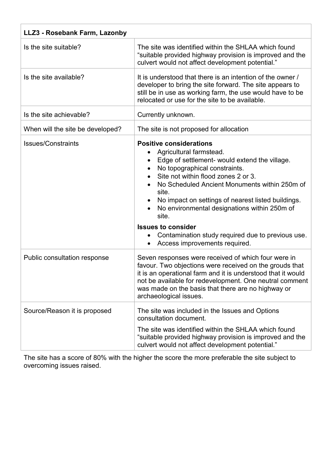| LLZ3 - Rosebank Farm, Lazonby    |                                                                                                                                                                                                                                                                                                                                                                                                                                                                                |  |
|----------------------------------|--------------------------------------------------------------------------------------------------------------------------------------------------------------------------------------------------------------------------------------------------------------------------------------------------------------------------------------------------------------------------------------------------------------------------------------------------------------------------------|--|
| Is the site suitable?            | The site was identified within the SHLAA which found<br>"suitable provided highway provision is improved and the<br>culvert would not affect development potential."                                                                                                                                                                                                                                                                                                           |  |
| Is the site available?           | It is understood that there is an intention of the owner /<br>developer to bring the site forward. The site appears to<br>still be in use as working farm, the use would have to be<br>relocated or use for the site to be available.                                                                                                                                                                                                                                          |  |
| Is the site achievable?          | Currently unknown.                                                                                                                                                                                                                                                                                                                                                                                                                                                             |  |
| When will the site be developed? | The site is not proposed for allocation                                                                                                                                                                                                                                                                                                                                                                                                                                        |  |
| <b>Issues/Constraints</b>        | <b>Positive considerations</b><br>Agricultural farmstead.<br>Edge of settlement- would extend the village.<br>No topographical constraints.<br>Site not within flood zones 2 or 3.<br>No Scheduled Ancient Monuments within 250m of<br>site.<br>No impact on settings of nearest listed buildings.<br>No environmental designations within 250m of<br>site.<br><b>Issues to consider</b><br>Contamination study required due to previous use.<br>Access improvements required. |  |
| Public consultation response     | Seven responses were received of which four were in<br>favour. Two objections were received on the grouds that<br>it is an operational farm and it is understood that it would<br>not be available for redevelopment. One neutral comment<br>was made on the basis that there are no highway or<br>archaeological issues.                                                                                                                                                      |  |
| Source/Reason it is proposed     | The site was included in the Issues and Options<br>consultation document.<br>The site was identified within the SHLAA which found<br>"suitable provided highway provision is improved and the<br>culvert would not affect development potential."                                                                                                                                                                                                                              |  |

The site has a score of 80% with the higher the score the more preferable the site subject to overcoming issues raised.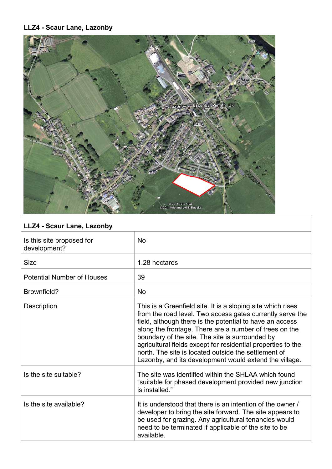### **LLZ4 - Scaur Lane, Lazonby**



# **LLZ4 - Scaur Lane, Lazonby**

| Is this site proposed for<br>development? | <b>No</b>                                                                                                                                                                                                                                                                                                                                                                                                                                                                           |
|-------------------------------------------|-------------------------------------------------------------------------------------------------------------------------------------------------------------------------------------------------------------------------------------------------------------------------------------------------------------------------------------------------------------------------------------------------------------------------------------------------------------------------------------|
| <b>Size</b>                               | 1.28 hectares                                                                                                                                                                                                                                                                                                                                                                                                                                                                       |
| <b>Potential Number of Houses</b>         | 39                                                                                                                                                                                                                                                                                                                                                                                                                                                                                  |
| Brownfield?                               | <b>No</b>                                                                                                                                                                                                                                                                                                                                                                                                                                                                           |
| Description                               | This is a Greenfield site. It is a sloping site which rises<br>from the road level. Two access gates currently serve the<br>field, although there is the potential to have an access<br>along the frontage. There are a number of trees on the<br>boundary of the site. The site is surrounded by<br>agricultural fields except for residential properties to the<br>north. The site is located outside the settlement of<br>Lazonby, and its development would extend the village. |
| Is the site suitable?                     | The site was identified within the SHLAA which found<br>"suitable for phased development provided new junction<br>is installed."                                                                                                                                                                                                                                                                                                                                                    |
| Is the site available?                    | It is understood that there is an intention of the owner /<br>developer to bring the site forward. The site appears to<br>be used for grazing. Any agricultural tenancies would<br>need to be terminated if applicable of the site to be<br>available.                                                                                                                                                                                                                              |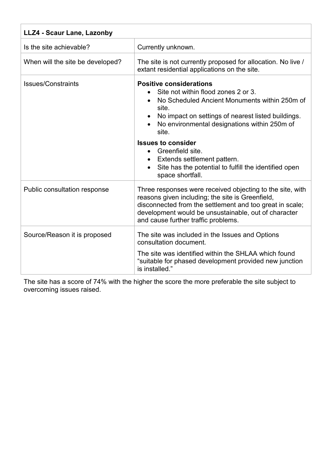| LLZ4 - Scaur Lane, Lazonby       |                                                                                                                                                                                                                                                                                                                                                                                                                          |
|----------------------------------|--------------------------------------------------------------------------------------------------------------------------------------------------------------------------------------------------------------------------------------------------------------------------------------------------------------------------------------------------------------------------------------------------------------------------|
| Is the site achievable?          | Currently unknown.                                                                                                                                                                                                                                                                                                                                                                                                       |
| When will the site be developed? | The site is not currently proposed for allocation. No live /<br>extant residential applications on the site.                                                                                                                                                                                                                                                                                                             |
| <b>Issues/Constraints</b>        | <b>Positive considerations</b><br>Site not within flood zones 2 or 3.<br>No Scheduled Ancient Monuments within 250m of<br>site.<br>No impact on settings of nearest listed buildings.<br>No environmental designations within 250m of<br>site.<br><b>Issues to consider</b><br>Greenfield site.<br>$\bullet$<br>Extends settlement pattern.<br>Site has the potential to fulfill the identified open<br>space shortfall. |
| Public consultation response     | Three responses were received objecting to the site, with<br>reasons given including; the site is Greenfield,<br>disconnected from the settlement and too great in scale;<br>development would be unsustainable, out of character<br>and cause further traffic problems.                                                                                                                                                 |
| Source/Reason it is proposed     | The site was included in the Issues and Options<br>consultation document.<br>The site was identified within the SHLAA which found<br>"suitable for phased development provided new junction<br>is installed."                                                                                                                                                                                                            |

The site has a score of 74% with the higher the score the more preferable the site subject to overcoming issues raised.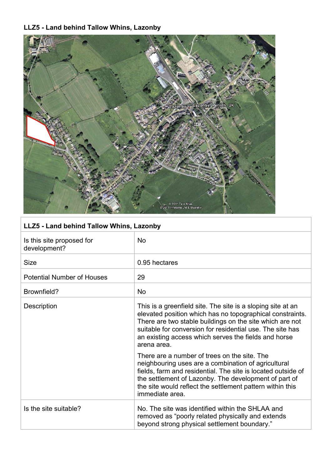### **LLZ5 - Land behind Tallow Whins, Lazonby**



| LLZ5 - Land behind Tallow Whins, Lazonby  |                                                                                                                                                                                                                                                                                                                          |
|-------------------------------------------|--------------------------------------------------------------------------------------------------------------------------------------------------------------------------------------------------------------------------------------------------------------------------------------------------------------------------|
| Is this site proposed for<br>development? | <b>No</b>                                                                                                                                                                                                                                                                                                                |
| <b>Size</b>                               | 0.95 hectares                                                                                                                                                                                                                                                                                                            |
| <b>Potential Number of Houses</b>         | 29                                                                                                                                                                                                                                                                                                                       |
| Brownfield?                               | <b>No</b>                                                                                                                                                                                                                                                                                                                |
| Description                               | This is a greenfield site. The site is a sloping site at an<br>elevated position which has no topographical constraints.<br>There are two stable buildings on the site which are not<br>suitable for conversion for residential use. The site has<br>an existing access which serves the fields and horse<br>arena area. |
|                                           | There are a number of trees on the site. The<br>neighbouring uses are a combination of agricultural<br>fields, farm and residential. The site is located outside of<br>the settlement of Lazonby. The development of part of<br>the site would reflect the settlement pattern within this<br>immediate area.             |
| Is the site suitable?                     | No. The site was identified within the SHLAA and<br>removed as "poorly related physically and extends<br>beyond strong physical settlement boundary."                                                                                                                                                                    |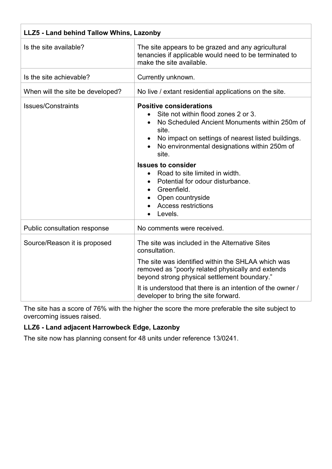| LLZ5 - Land behind Tallow Whins, Lazonby |                                                                                                                                                                                                                                                                                                                                                                                                                                            |
|------------------------------------------|--------------------------------------------------------------------------------------------------------------------------------------------------------------------------------------------------------------------------------------------------------------------------------------------------------------------------------------------------------------------------------------------------------------------------------------------|
| Is the site available?                   | The site appears to be grazed and any agricultural<br>tenancies if applicable would need to be terminated to<br>make the site available.                                                                                                                                                                                                                                                                                                   |
| Is the site achievable?                  | Currently unknown.                                                                                                                                                                                                                                                                                                                                                                                                                         |
| When will the site be developed?         | No live / extant residential applications on the site.                                                                                                                                                                                                                                                                                                                                                                                     |
| <b>Issues/Constraints</b>                | <b>Positive considerations</b><br>Site not within flood zones 2 or 3.<br>No Scheduled Ancient Monuments within 250m of<br>site.<br>No impact on settings of nearest listed buildings.<br>No environmental designations within 250m of<br>site.<br><b>Issues to consider</b><br>Road to site limited in width.<br>$\bullet$<br>Potential for odour disturbance.<br>Greenfield.<br>Open countryside<br><b>Access restrictions</b><br>Levels. |
| Public consultation response             | No comments were received.                                                                                                                                                                                                                                                                                                                                                                                                                 |
| Source/Reason it is proposed             | The site was included in the Alternative Sites<br>consultation.<br>The site was identified within the SHLAA which was<br>removed as "poorly related physically and extends<br>beyond strong physical settlement boundary."<br>It is understood that there is an intention of the owner /<br>developer to bring the site forward.                                                                                                           |

The site has a score of 76% with the higher the score the more preferable the site subject to overcoming issues raised.

### **LLZ6 - Land adjacent Harrowbeck Edge, Lazonby**

The site now has planning consent for 48 units under reference 13/0241.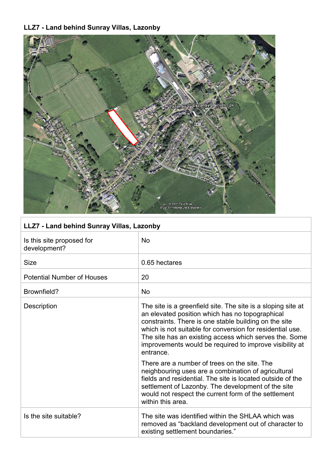## **LLZ7 - Land behind Sunray Villas, Lazonby**



| LLZ7 - Land behind Sunray Villas, Lazonby |
|-------------------------------------------|
|                                           |

| Is this site proposed for<br>development? | <b>No</b>                                                                                                                                                                                                                                                                                                                                                               |
|-------------------------------------------|-------------------------------------------------------------------------------------------------------------------------------------------------------------------------------------------------------------------------------------------------------------------------------------------------------------------------------------------------------------------------|
| <b>Size</b>                               | 0.65 hectares                                                                                                                                                                                                                                                                                                                                                           |
| <b>Potential Number of Houses</b>         | 20                                                                                                                                                                                                                                                                                                                                                                      |
| Brownfield?                               | <b>No</b>                                                                                                                                                                                                                                                                                                                                                               |
| Description                               | The site is a greenfield site. The site is a sloping site at<br>an elevated position which has no topographical<br>constraints. There is one stable building on the site<br>which is not suitable for conversion for residential use.<br>The site has an existing access which serves the. Some<br>improvements would be required to improve visibility at<br>entrance. |
|                                           | There are a number of trees on the site. The<br>neighbouring uses are a combination of agricultural<br>fields and residential. The site is located outside of the<br>settlement of Lazonby. The development of the site<br>would not respect the current form of the settlement<br>within this area.                                                                    |
| Is the site suitable?                     | The site was identified within the SHLAA which was<br>removed as "backland development out of character to<br>existing settlement boundaries."                                                                                                                                                                                                                          |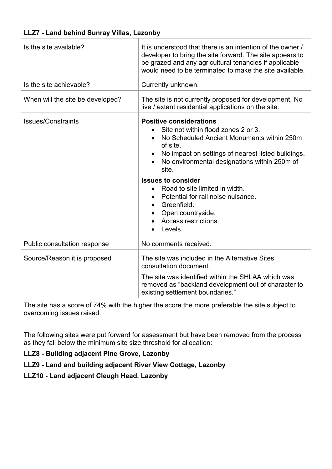| LLZ7 - Land behind Sunray Villas, Lazonby |                                                                                                                                                                                                                                                                                                                                                                                                                            |
|-------------------------------------------|----------------------------------------------------------------------------------------------------------------------------------------------------------------------------------------------------------------------------------------------------------------------------------------------------------------------------------------------------------------------------------------------------------------------------|
| Is the site available?                    | It is understood that there is an intention of the owner /<br>developer to bring the site forward. The site appears to<br>be grazed and any agricultural tenancies if applicable<br>would need to be terminated to make the site available.                                                                                                                                                                                |
| Is the site achievable?                   | Currently unknown.                                                                                                                                                                                                                                                                                                                                                                                                         |
| When will the site be developed?          | The site is not currently proposed for development. No<br>live / extant residential applications on the site.                                                                                                                                                                                                                                                                                                              |
| <b>Issues/Constraints</b>                 | <b>Positive considerations</b><br>Site not within flood zones 2 or 3.<br>No Scheduled Ancient Monuments within 250m<br>of site.<br>No impact on settings of nearest listed buildings.<br>No environmental designations within 250m of<br>site.<br><b>Issues to consider</b><br>Road to site limited in width.<br>Potential for rail noise nuisance.<br>Greenfield.<br>Open countryside.<br>Access restrictions.<br>Levels. |
| Public consultation response              | No comments received.                                                                                                                                                                                                                                                                                                                                                                                                      |
| Source/Reason it is proposed              | The site was included in the Alternative Sites<br>consultation document.<br>The site was identified within the SHLAA which was<br>removed as "backland development out of character to<br>existing settlement boundaries."                                                                                                                                                                                                 |

The site has a score of 74% with the higher the score the more preferable the site subject to overcoming issues raised.

The following sites were put forward for assessment but have been removed from the process as they fall below the minimum site size threshold for allocation:

**LLZ8 - Building adjacent Pine Grove, Lazonby**

**LLZ9 - Land and building adjacent River View Cottage, Lazonby**

**LLZ10 - Land adjacent Cleugh Head, Lazonby**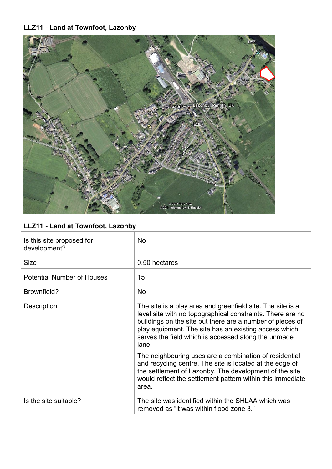### **LLZ11 - Land at Townfoot, Lazonby**



| LLZ11 - Land at Townfoot, Lazonby         |                                                                                                                                                                                                                                                                                                                |  |
|-------------------------------------------|----------------------------------------------------------------------------------------------------------------------------------------------------------------------------------------------------------------------------------------------------------------------------------------------------------------|--|
| Is this site proposed for<br>development? | <b>No</b>                                                                                                                                                                                                                                                                                                      |  |
| <b>Size</b>                               | 0.50 hectares                                                                                                                                                                                                                                                                                                  |  |
| <b>Potential Number of Houses</b>         | 15                                                                                                                                                                                                                                                                                                             |  |
| Brownfield?                               | <b>No</b>                                                                                                                                                                                                                                                                                                      |  |
| Description                               | The site is a play area and greenfield site. The site is a<br>level site with no topographical constraints. There are no<br>buildings on the site but there are a number of pieces of<br>play equipment. The site has an existing access which<br>serves the field which is accessed along the unmade<br>lane. |  |
|                                           | The neighbouring uses are a combination of residential<br>and recycling centre. The site is located at the edge of<br>the settlement of Lazonby. The development of the site<br>would reflect the settlement pattern within this immediate<br>area.                                                            |  |
| Is the site suitable?                     | The site was identified within the SHLAA which was<br>removed as "it was within flood zone 3."                                                                                                                                                                                                                 |  |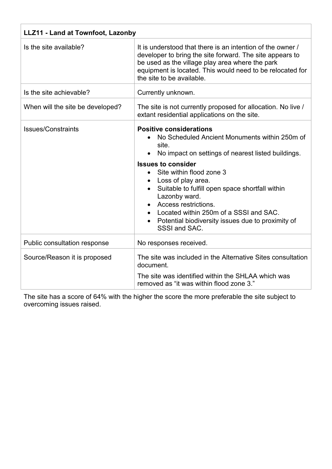| LLZ11 - Land at Townfoot, Lazonby |                                                                                                                                                                                                                                                                                                                                                                                                                                                        |  |
|-----------------------------------|--------------------------------------------------------------------------------------------------------------------------------------------------------------------------------------------------------------------------------------------------------------------------------------------------------------------------------------------------------------------------------------------------------------------------------------------------------|--|
| Is the site available?            | It is understood that there is an intention of the owner /<br>developer to bring the site forward. The site appears to<br>be used as the village play area where the park<br>equipment is located. This would need to be relocated for<br>the site to be available.                                                                                                                                                                                    |  |
| Is the site achievable?           | Currently unknown.                                                                                                                                                                                                                                                                                                                                                                                                                                     |  |
| When will the site be developed?  | The site is not currently proposed for allocation. No live /<br>extant residential applications on the site.                                                                                                                                                                                                                                                                                                                                           |  |
| <b>Issues/Constraints</b>         | <b>Positive considerations</b><br>No Scheduled Ancient Monuments within 250m of<br>site.<br>No impact on settings of nearest listed buildings.<br><b>Issues to consider</b><br>Site within flood zone 3<br>$\bullet$<br>Loss of play area.<br>Suitable to fulfill open space shortfall within<br>Lazonby ward.<br>Access restrictions.<br>Located within 250m of a SSSI and SAC.<br>Potential biodiversity issues due to proximity of<br>SSSI and SAC. |  |
| Public consultation response      | No responses received.                                                                                                                                                                                                                                                                                                                                                                                                                                 |  |
| Source/Reason it is proposed      | The site was included in the Alternative Sites consultation<br>document.<br>The site was identified within the SHLAA which was<br>removed as "it was within flood zone 3."                                                                                                                                                                                                                                                                             |  |

The site has a score of 64% with the higher the score the more preferable the site subject to overcoming issues raised.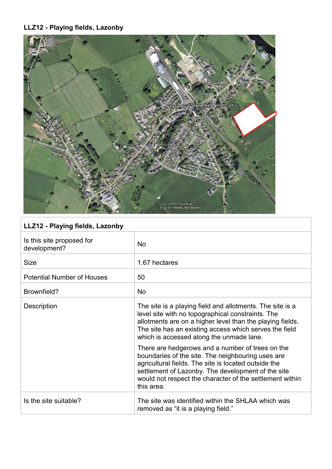# **LLZ12 - Playing fields, Lazonby**



| LLZ12 - Playing fields, Lazonby           |                                                                                                                                                                                                                                                                                               |  |
|-------------------------------------------|-----------------------------------------------------------------------------------------------------------------------------------------------------------------------------------------------------------------------------------------------------------------------------------------------|--|
| Is this site proposed for<br>development? | <b>No</b>                                                                                                                                                                                                                                                                                     |  |
| <b>Size</b>                               | 1.67 hectares                                                                                                                                                                                                                                                                                 |  |
| <b>Potential Number of Houses</b>         | 50                                                                                                                                                                                                                                                                                            |  |
| Brownfield?                               | <b>No</b>                                                                                                                                                                                                                                                                                     |  |
| Description                               | The site is a playing field and allotments. The site is a<br>level site with no topographical constraints. The<br>allotments are on a higher level than the playing fields.<br>The site has an existing access which serves the field<br>which is accessed along the unmade lane.             |  |
|                                           | There are hedgerows and a number of trees on the<br>boundaries of the site. The neighbouring uses are<br>agricultural fields. The site is located outside the<br>settlement of Lazonby. The development of the site<br>would not respect the character of the settlement within<br>this area. |  |
| Is the site suitable?                     | The site was identified within the SHLAA which was<br>removed as "it is a playing field."                                                                                                                                                                                                     |  |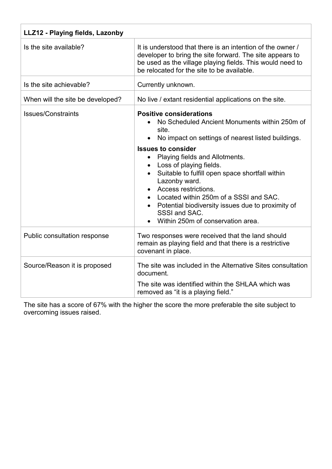| LLZ12 - Playing fields, Lazonby  |                                                                                                                                                                                                                                                                                                                                                                                                                                                                                           |  |  |
|----------------------------------|-------------------------------------------------------------------------------------------------------------------------------------------------------------------------------------------------------------------------------------------------------------------------------------------------------------------------------------------------------------------------------------------------------------------------------------------------------------------------------------------|--|--|
| Is the site available?           | It is understood that there is an intention of the owner /<br>developer to bring the site forward. The site appears to<br>be used as the village playing fields. This would need to<br>be relocated for the site to be available.                                                                                                                                                                                                                                                         |  |  |
| Is the site achievable?          | Currently unknown.                                                                                                                                                                                                                                                                                                                                                                                                                                                                        |  |  |
| When will the site be developed? | No live / extant residential applications on the site.                                                                                                                                                                                                                                                                                                                                                                                                                                    |  |  |
| <b>Issues/Constraints</b>        | <b>Positive considerations</b><br>No Scheduled Ancient Monuments within 250m of<br>site.<br>No impact on settings of nearest listed buildings.<br><b>Issues to consider</b><br>Playing fields and Allotments.<br>Loss of playing fields.<br>Suitable to fulfill open space shortfall within<br>Lazonby ward.<br>Access restrictions.<br>Located within 250m of a SSSI and SAC.<br>Potential biodiversity issues due to proximity of<br>SSSI and SAC.<br>Within 250m of conservation area. |  |  |
| Public consultation response     | Two responses were received that the land should<br>remain as playing field and that there is a restrictive<br>covenant in place.                                                                                                                                                                                                                                                                                                                                                         |  |  |
| Source/Reason it is proposed     | The site was included in the Alternative Sites consultation<br>document.<br>The site was identified within the SHLAA which was<br>removed as "it is a playing field."                                                                                                                                                                                                                                                                                                                     |  |  |

The site has a score of 67% with the higher the score the more preferable the site subject to overcoming issues raised.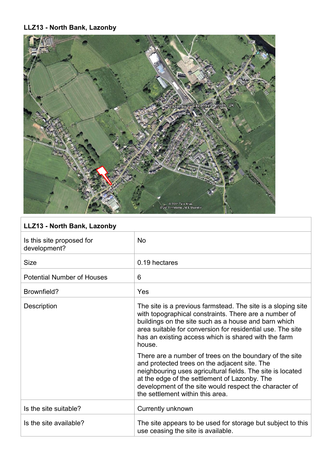#### **LLZ13 - North Bank, Lazonby**



|  |  |  |  |  | LLZ13 - North Bank, Lazonby |
|--|--|--|--|--|-----------------------------|
|--|--|--|--|--|-----------------------------|

| Is this site proposed for<br>development? | <b>No</b>                                                                                                                                                                                                                                                                                                             |
|-------------------------------------------|-----------------------------------------------------------------------------------------------------------------------------------------------------------------------------------------------------------------------------------------------------------------------------------------------------------------------|
| <b>Size</b>                               | 0.19 hectares                                                                                                                                                                                                                                                                                                         |
| <b>Potential Number of Houses</b>         | 6                                                                                                                                                                                                                                                                                                                     |
| Brownfield?                               | Yes                                                                                                                                                                                                                                                                                                                   |
| Description                               | The site is a previous farmstead. The site is a sloping site<br>with topographical constraints. There are a number of<br>buildings on the site such as a house and barn which<br>area suitable for conversion for residential use. The site<br>has an existing access which is shared with the farm<br>house.         |
|                                           | There are a number of trees on the boundary of the site<br>and protected trees on the adjacent site. The<br>neighbouring uses agricultural fields. The site is located<br>at the edge of the settlement of Lazonby. The<br>development of the site would respect the character of<br>the settlement within this area. |
| Is the site suitable?                     | Currently unknown                                                                                                                                                                                                                                                                                                     |
| Is the site available?                    | The site appears to be used for storage but subject to this<br>use ceasing the site is available.                                                                                                                                                                                                                     |
|                                           |                                                                                                                                                                                                                                                                                                                       |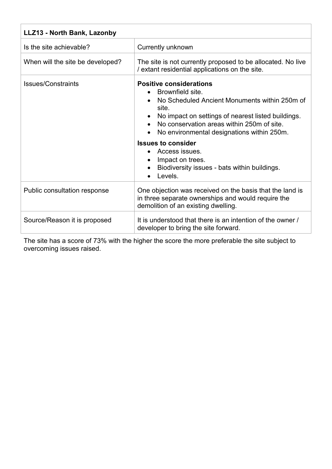| LLZ13 - North Bank, Lazonby      |                                                                                                                                                                                                                                                                                                                                                                                                           |  |
|----------------------------------|-----------------------------------------------------------------------------------------------------------------------------------------------------------------------------------------------------------------------------------------------------------------------------------------------------------------------------------------------------------------------------------------------------------|--|
| Is the site achievable?          | Currently unknown                                                                                                                                                                                                                                                                                                                                                                                         |  |
| When will the site be developed? | The site is not currently proposed to be allocated. No live<br>/ extant residential applications on the site.                                                                                                                                                                                                                                                                                             |  |
| Issues/Constraints               | <b>Positive considerations</b><br>Brownfield site.<br>No Scheduled Ancient Monuments within 250m of<br>site.<br>No impact on settings of nearest listed buildings.<br>No conservation areas within 250m of site.<br>No environmental designations within 250m.<br>$\bullet$<br><b>Issues to consider</b><br>Access issues.<br>Impact on trees.<br>Biodiversity issues - bats within buildings.<br>Levels. |  |
| Public consultation response     | One objection was received on the basis that the land is<br>in three separate ownerships and would require the<br>demolition of an existing dwelling.                                                                                                                                                                                                                                                     |  |
| Source/Reason it is proposed     | It is understood that there is an intention of the owner /<br>developer to bring the site forward.                                                                                                                                                                                                                                                                                                        |  |

The site has a score of 73% with the higher the score the more preferable the site subject to overcoming issues raised.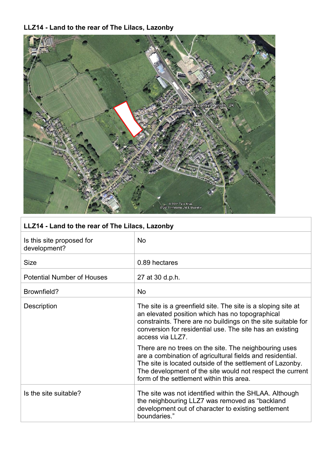# **LLZ14 - Land to the rear of The Lilacs, Lazonby**



| LLZ14 - Land to the rear of The Lilacs, Lazonby |                                                                                                                                                                                                                                                                                          |  |
|-------------------------------------------------|------------------------------------------------------------------------------------------------------------------------------------------------------------------------------------------------------------------------------------------------------------------------------------------|--|
| Is this site proposed for<br>development?       | <b>No</b>                                                                                                                                                                                                                                                                                |  |
| <b>Size</b>                                     | 0.89 hectares                                                                                                                                                                                                                                                                            |  |
| <b>Potential Number of Houses</b>               | 27 at 30 d.p.h.                                                                                                                                                                                                                                                                          |  |
| Brownfield?                                     | <b>No</b>                                                                                                                                                                                                                                                                                |  |
| Description                                     | The site is a greenfield site. The site is a sloping site at<br>an elevated position which has no topographical<br>constraints. There are no buildings on the site suitable for<br>conversion for residential use. The site has an existing<br>access via LLZ7.                          |  |
|                                                 | There are no trees on the site. The neighbouring uses<br>are a combination of agricultural fields and residential.<br>The site is located outside of the settlement of Lazonby.<br>The development of the site would not respect the current<br>form of the settlement within this area. |  |
| Is the site suitable?                           | The site was not identified within the SHLAA. Although<br>the neighbouring LLZ7 was removed as "backland"<br>development out of character to existing settlement<br>boundaries."                                                                                                         |  |